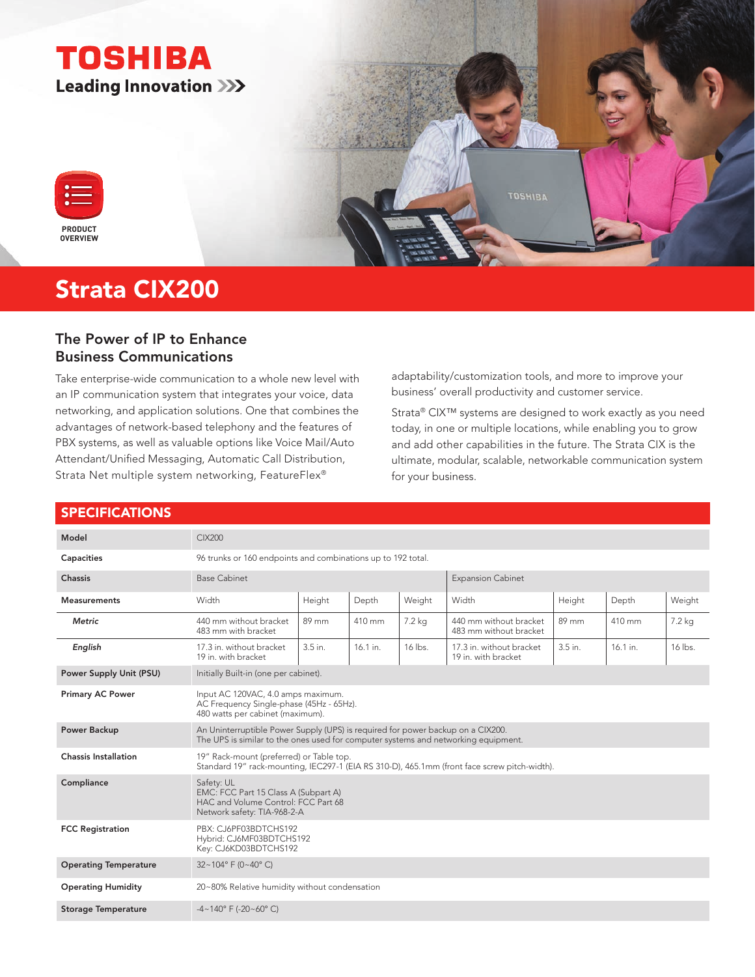

# Strata CIX200

## The Power of IP to Enhance Business Communications

Take enterprise-wide communication to a whole new level with an IP communication system that integrates your voice, data networking, and application solutions. One that combines the advantages of network-based telephony and the features of PBX systems, as well as valuable options like Voice Mail/Auto Attendant/Unified Messaging, Automatic Call Distribution, Strata Net multiple system networking, FeatureFlex®

adaptability/customization tools, and more to improve your business' overall productivity and customer service.

Strata® CIX™ systems are designed to work exactly as you need today, in one or multiple locations, while enabling you to grow and add other capabilities in the future. The Strata CIX is the ultimate, modular, scalable, networkable communication system for your business.

#### SPECIFICATIONS

| Model                          | CIX200                                                                                                                                                                |         |            |         |                                                  |         |          |         |
|--------------------------------|-----------------------------------------------------------------------------------------------------------------------------------------------------------------------|---------|------------|---------|--------------------------------------------------|---------|----------|---------|
| Capacities                     | 96 trunks or 160 endpoints and combinations up to 192 total.                                                                                                          |         |            |         |                                                  |         |          |         |
| <b>Chassis</b>                 | <b>Base Cabinet</b>                                                                                                                                                   |         |            |         | <b>Expansion Cabinet</b>                         |         |          |         |
| <b>Measurements</b>            | Width                                                                                                                                                                 | Height  | Depth      | Weight  | Width                                            | Height  | Depth    | Weight  |
| <b>Metric</b>                  | 440 mm without bracket<br>483 mm with bracket                                                                                                                         | 89 mm   | 410 mm     | 7.2 kg  | 440 mm without bracket<br>483 mm without bracket | 89 mm   | 410 mm   | 7.2 kg  |
| English                        | 17.3 in. without bracket<br>19 in, with bracket                                                                                                                       | 3.5 in. | $16.1$ in. | 16 lbs. | 17.3 in. without bracket<br>19 in. with bracket  | 3.5 in. | 16.1 in. | 16 lbs. |
| <b>Power Supply Unit (PSU)</b> | Initially Built-in (one per cabinet).                                                                                                                                 |         |            |         |                                                  |         |          |         |
| <b>Primary AC Power</b>        | Input AC 120VAC, 4.0 amps maximum.<br>AC Frequency Single-phase (45Hz - 65Hz).<br>480 watts per cabinet (maximum).                                                    |         |            |         |                                                  |         |          |         |
| <b>Power Backup</b>            | An Uninterruptible Power Supply (UPS) is required for power backup on a CIX200.<br>The UPS is similar to the ones used for computer systems and networking equipment. |         |            |         |                                                  |         |          |         |
| <b>Chassis Installation</b>    | 19" Rack-mount (preferred) or Table top.<br>Standard 19" rack-mounting, IEC297-1 (EIA RS 310-D), 465.1mm (front face screw pitch-width).                              |         |            |         |                                                  |         |          |         |
| Compliance                     | Safety: UL<br>EMC: FCC Part 15 Class A (Subpart A)<br>HAC and Volume Control: FCC Part 68<br>Network safety: TIA-968-2-A                                              |         |            |         |                                                  |         |          |         |
| <b>FCC Registration</b>        | PBX: CJ6PF03BDTCHS192<br>Hybrid: CJ6MF03BDTCHS192<br>Key: CJ6KD03BDTCHS192                                                                                            |         |            |         |                                                  |         |          |         |
| <b>Operating Temperature</b>   | $32 \sim 104$ ° F (0~40° C)                                                                                                                                           |         |            |         |                                                  |         |          |         |
| <b>Operating Humidity</b>      | 20~80% Relative humidity without condensation                                                                                                                         |         |            |         |                                                  |         |          |         |
| <b>Storage Temperature</b>     | $-4 \sim 140^{\circ}$ F ( $-20 \sim 60^{\circ}$ C)                                                                                                                    |         |            |         |                                                  |         |          |         |